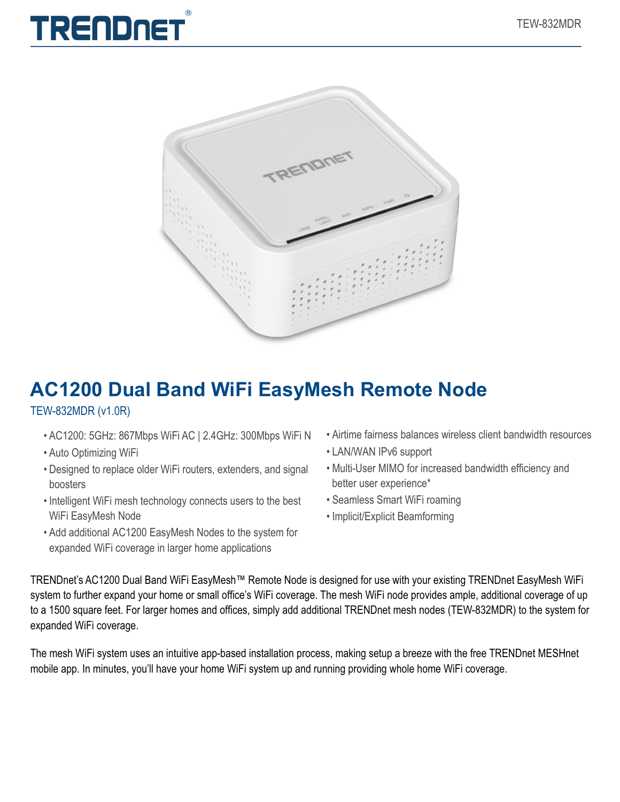



## **AC1200 Dual Band WiFi EasyMesh Remote Node**

#### TEW-832MDR (v1.0R)

- AC1200: 5GHz: 867Mbps WiFi AC | 2.4GHz: 300Mbps WiFi N
- Auto Optimizing WiFi
- Designed to replace older WiFi routers, extenders, and signal boosters
- Intelligent WiFi mesh technology connects users to the best WiFi EasyMesh Node
- Add additional AC1200 EasyMesh Nodes to the system for expanded WiFi coverage in larger home applications
- Airtime fairness balances wireless client bandwidth resources
- LAN/WAN IPv6 support
- Multi-User MIMO for increased bandwidth efficiency and better user experience\*
- Seamless Smart WiFi roaming
- Implicit/Explicit Beamforming

TRENDnet's AC1200 Dual Band WiFi EasyMesh™ Remote Node is designed for use with your existing TRENDnet EasyMesh WiFi system to further expand your home or small office's WiFi coverage. The mesh WiFi node provides ample, additional coverage of up to a 1500 square feet. For larger homes and offices, simply add additional TRENDnet mesh nodes (TEW-832MDR) to the system for expanded WiFi coverage.

The mesh WiFi system uses an intuitive app-based installation process, making setup a breeze with the free TRENDnet MESHnet mobile app. In minutes, you'll have your home WiFi system up and running providing whole home WiFi coverage.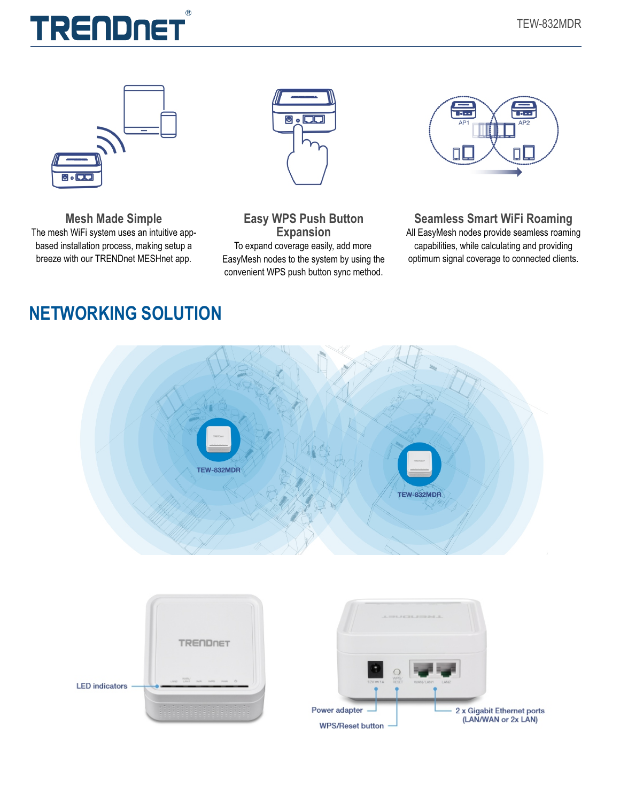

**Mesh Made Simple** The mesh WiFi system uses an intuitive appbased installation process, making setup a breeze with our TRENDnet MESHnet app.



**Easy WPS Push Button Expansion** To expand coverage easily, add more EasyMesh nodes to the system by using the convenient WPS push button sync method.



**Seamless Smart WiFi Roaming**

All EasyMesh nodes provide seamless roaming capabilities, while calculating and providing optimum signal coverage to connected clients.

### **NETWORKING SOLUTION**

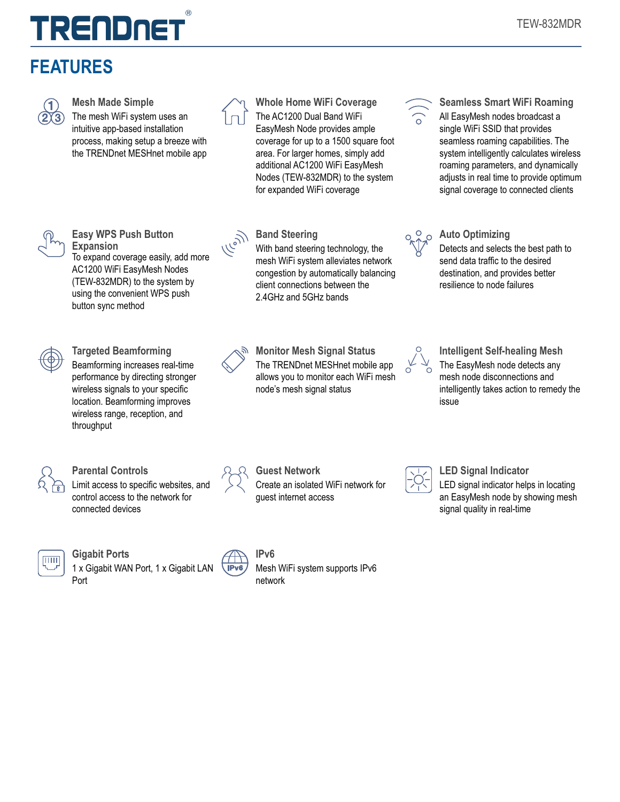## $( R )$ TRENDNE

## **FEATURES**



**Mesh Made Simple**

The mesh WiFi system uses an intuitive app-based installation process, making setup a breeze with the TRENDnet MESHnet mobile app



**Whole Home WiFi Coverage** The AC1200 Dual Band WiFi EasyMesh Node provides ample coverage for up to a 1500 square foot area. For larger homes, simply add additional AC1200 WiFi EasyMesh Nodes (TEW-832MDR) to the system for expanded WiFi coverage

With band steering technology, the mesh WiFi system alleviates network congestion by automatically balancing client connections between the 2.4GHz and 5GHz bands

**Band Steering**



**Seamless Smart WiFi Roaming** All EasyMesh nodes broadcast a single WiFi SSID that provides seamless roaming capabilities. The system intelligently calculates wireless roaming parameters, and dynamically adjusts in real time to provide optimum signal coverage to connected clients

Detects and selects the best path to send data traffic to the desired destination, and provides better resilience to node failures

**Auto Optimizing**



**Easy WPS Push Button Expansion** To expand coverage easily, add more

AC1200 WiFi EasyMesh Nodes (TEW-832MDR) to the system by using the convenient WPS push button sync method



**Targeted Beamforming** Beamforming increases real-time performance by directing stronger wireless signals to your specific location. Beamforming improves wireless range, reception, and throughput



**Monitor Mesh Signal Status** The TRENDnet MESHnet mobile app allows you to monitor each WiFi mesh node's mesh signal status



**Intelligent Self-healing Mesh** The EasyMesh node detects any mesh node disconnections and intelligently takes action to remedy the issue



**Parental Controls** Limit access to specific websites, and control access to the network for connected devices



**Gigabit Ports** 1 x Gigabit WAN Port, 1 x Gigabit LAN Port



**Guest Network** Create an isolated WiFi network for guest internet access



**LED Signal Indicator** LED signal indicator helps in locating an EasyMesh node by showing mesh signal quality in real-time



**IPv6** Mesh WiFi system supports IPv6 network